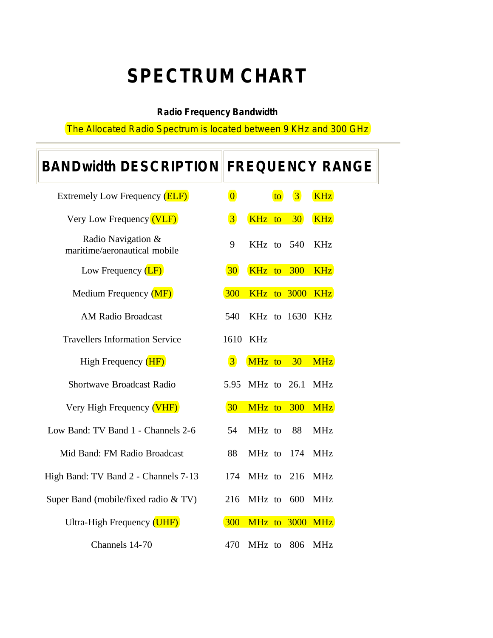## **SPECTRUM CHART**

## **Radio Frequency Bandwidth**

The Allocated Radio Spectrum is located between 9 KHz and 300 GHz

| <b>BANDwidth DESCRIPTION FREQUENCY RANGE</b>       |                         |             |    |                 |                 |
|----------------------------------------------------|-------------------------|-------------|----|-----------------|-----------------|
| Extremely Low Frequency (ELF)                      | $\overline{\mathbf{0}}$ |             | to | $\vert 3 \vert$ | <b>KHz</b>      |
| Very Low Frequency (VLF)                           | $\overline{3}$          | KHz to      |    | 30 <sup>°</sup> | <b>KHz</b>      |
| Radio Navigation &<br>maritime/aeronautical mobile | 9                       | KHz to 540  |    |                 | <b>KHz</b>      |
| Low Frequency $(LF)$                               | 30 <sup>°</sup>         | KHz to 300  |    |                 | <b>KHz</b>      |
| Medium Frequency (MF)                              | 300                     |             |    |                 | KHz to 3000 KHz |
| <b>AM Radio Broadcast</b>                          | 540                     |             |    |                 | KHz to 1630 KHz |
| <b>Travellers Information Service</b>              | 1610                    | KHz         |    |                 |                 |
| High Frequency (HF)                                | $\vert 3 \vert$         | MHz to      |    | 30              | <b>MHz</b>      |
| <b>Shortwave Broadcast Radio</b>                   | 5.95                    | MHz to 26.1 |    |                 | <b>MHz</b>      |
| Very High Frequency (VHF)                          | 30 <sup>°</sup>         | MHz to      |    | 300             | <b>MHz</b>      |
| Low Band: TV Band 1 - Channels 2-6                 | 54                      | MHz to      |    | 88              | <b>MHz</b>      |
| Mid Band: FM Radio Broadcast                       | 88                      | MHz to      |    | 174             | <b>MHz</b>      |
| High Band: TV Band 2 - Channels 7-13               | 174                     | MHz to      |    | 216             | <b>MHz</b>      |
| Super Band (mobile/fixed radio & TV)               | 216                     | MHz to 600  |    |                 | <b>MHz</b>      |
| Ultra-High Frequency (UHF)                         | 300                     |             |    |                 | MHz to 3000 MHz |
| Channels 14-70                                     | 470                     | MHz to      |    | 806             | <b>MHz</b>      |